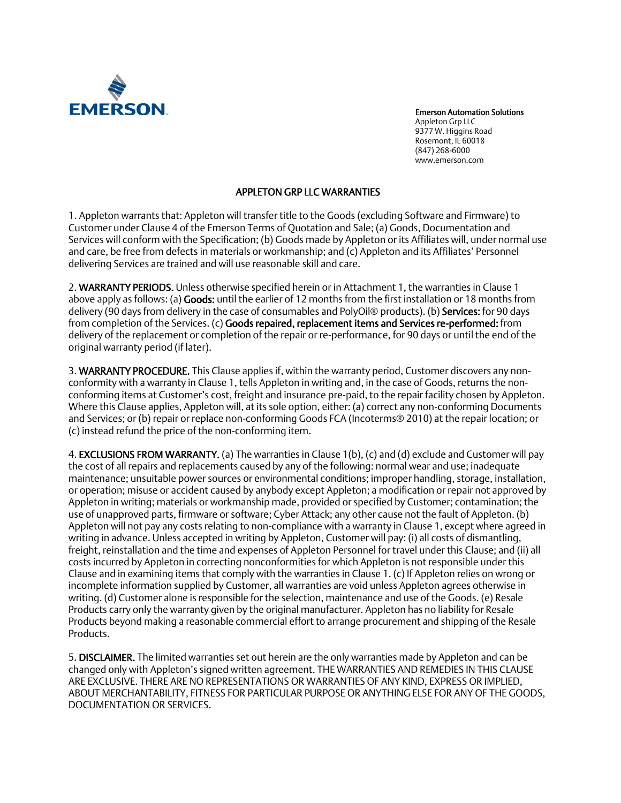

Emerson Automation Solutions Appleton Grp LLC 9377 W. Higgins Road Rosemont, IL 60018 (847) 268-6000 www.emerson.com

### APPLETON GRP LLC WARRANTIES

1. Appleton warrants that: Appleton will transfer title to the Goods (excluding Software and Firmware) to Customer under Clause 4 of the Emerson Terms of Quotation and Sale; (a) Goods, Documentation and Services will conform with the Specification; (b) Goods made by Appleton or its Affiliates will, under normal use and care, be free from defects in materials or workmanship; and (c) Appleton and its Affiliates' Personnel delivering Services are trained and will use reasonable skill and care.

2. WARRANTY PERIODS. Unless otherwise specified herein or in Attachment 1, the warranties in Clause 1 above apply as follows: (a) Goods: until the earlier of 12 months from the first installation or 18 months from delivery (90 days from delivery in the case of consumables and PolyOil® products). (b) Services: for 90 days from completion of the Services. (c) Goods repaired, replacement items and Services re-performed: from delivery of the replacement or completion of the repair or re-performance, for 90 days or until the end of the original warranty period (if later).

3. WARRANTY PROCEDURE. This Clause applies if, within the warranty period, Customer discovers any nonconformity with a warranty in Clause 1, tells Appleton in writing and, in the case of Goods, returns the nonconforming items at Customer's cost, freight and insurance pre-paid, to the repair facility chosen by Appleton. Where this Clause applies, Appleton will, at its sole option, either: (a) correct any non-conforming Documents and Services; or (b) repair or replace non-conforming Goods FCA (Incoterms® 2010) at the repair location; or (c) instead refund the price of the non-conforming item.

4. **EXCLUSIONS FROM WARRANTY.** (a) The warranties in Clause 1(b), (c) and (d) exclude and Customer will pay the cost of all repairs and replacements caused by any of the following: normal wear and use; inadequate maintenance; unsuitable power sources or environmental conditions; improper handling, storage, installation, or operation; misuse or accident caused by anybody except Appleton; a modification or repair not approved by Appleton in writing; materials or workmanship made, provided or specified by Customer; contamination; the use of unapproved parts, firmware or software; Cyber Attack; any other cause not the fault of Appleton. (b) Appleton will not pay any costs relating to non-compliance with a warranty in Clause 1, except where agreed in writing in advance. Unless accepted in writing by Appleton, Customer will pay: (i) all costs of dismantling, freight, reinstallation and the time and expenses of Appleton Personnel for travel under this Clause; and (ii) all costs incurred by Appleton in correcting nonconformities for which Appleton is not responsible under this Clause and in examining items that comply with the warranties in Clause 1. (c) If Appleton relies on wrong or incomplete information supplied by Customer, all warranties are void unless Appleton agrees otherwise in writing. (d) Customer alone is responsible for the selection, maintenance and use of the Goods. (e) Resale Products carry only the warranty given by the original manufacturer. Appleton has no liability for Resale Products beyond making a reasonable commercial effort to arrange procurement and shipping of the Resale Products.

5. DISCLAIMER. The limited warranties set out herein are the only warranties made by Appleton and can be changed only with Appleton's signed written agreement. THE WARRANTIES AND REMEDIES IN THIS CLAUSE ARE EXCLUSIVE. THERE ARE NO REPRESENTATIONS OR WARRANTIES OF ANY KIND, EXPRESS OR IMPLIED, ABOUT MERCHANTABILITY, FITNESS FOR PARTICULAR PURPOSE OR ANYTHING ELSE FOR ANY OF THE GOODS, DOCUMENTATION OR SERVICES.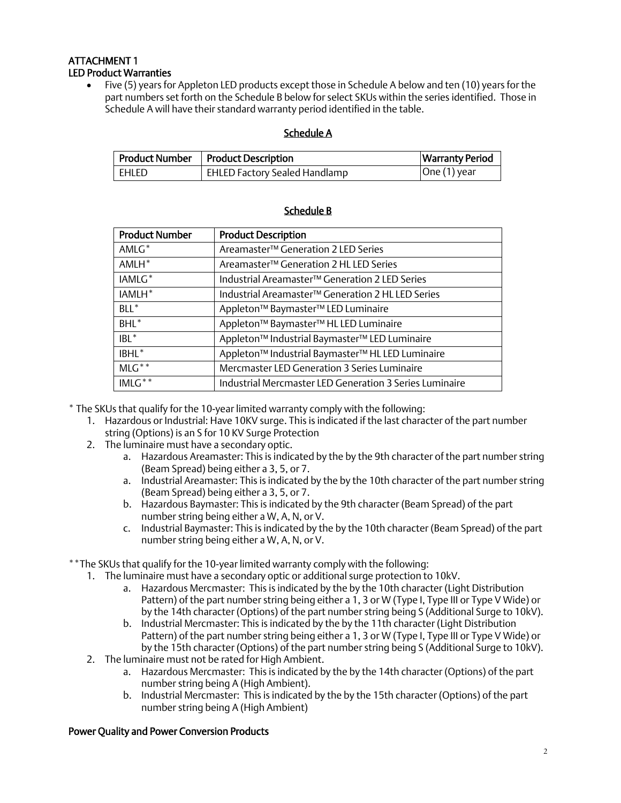# ATTACHMENT 1 LED Product Warranties

• Five (5) years for Appleton LED products except those in Schedule A below and ten (10) years for the part numbers set forth on the Schedule B below for select SKUs within the series identified. Those in Schedule A will have their standard warranty period identified in the table.

## Schedule A

|         | <b>Product Number</b>   Product Description | <b>Warranty Period</b> |
|---------|---------------------------------------------|------------------------|
| ' Ehled | EHLED Factory Sealed Handlamp               | $ One(1)$ year         |

| <b>Product Number</b> | <b>Product Description</b>                                            |
|-----------------------|-----------------------------------------------------------------------|
| $AMLG^*$              | Areamaster <sup>™</sup> Generation 2 LED Series                       |
| $AMLH^*$              | Areamaster <sup>™</sup> Generation 2 HL LED Series                    |
| IAMLG <sup>*</sup>    | Industrial Areamaster <sup>™</sup> Generation 2 LED Series            |
| IAMLH <sup>*</sup>    | Industrial Areamaster <sup>™</sup> Generation 2 HL LED Series         |
| $BL^*$                | Appleton <sup>™</sup> Baymaster <sup>™</sup> LED Luminaire            |
| $BHL^*$               | Appleton <sup>™</sup> Baymaster <sup>™</sup> HL LED Luminaire         |
| $IBL^*$               | Appleton <sup>™</sup> Industrial Baymaster <sup>™</sup> LED Luminaire |
| IBHL <sup>*</sup>     | Appleton™ Industrial Baymaster™ HL LED Luminaire                      |
| $MLG***$              | Mercmaster LED Generation 3 Series Luminaire                          |
| $IMLG**$              | Industrial Mercmaster LED Generation 3 Series Luminaire               |

### Schedule B

\* The SKUs that qualify for the 10-year limited warranty comply with the following:

- 1. Hazardous or Industrial: Have 10KV surge. This is indicated if the last character of the part number string (Options) is an S for 10 KV Surge Protection
- 2. The luminaire must have a secondary optic.
	- a. Hazardous Areamaster: This is indicated by the by the 9th character of the part number string (Beam Spread) being either a 3, 5, or 7.
	- a. Industrial Areamaster: This is indicated by the by the 10th character of the part number string (Beam Spread) being either a 3, 5, or 7.
	- b. Hazardous Baymaster: This is indicated by the 9th character (Beam Spread) of the part number string being either a W, A, N, or V.
	- c. Industrial Baymaster: This is indicated by the by the 10th character (Beam Spread) of the part number string being either a W, A, N, or V.

\*\*The SKUs that qualify for the 10-year limited warranty comply with the following:

- 1. The luminaire must have a secondary optic or additional surge protection to 10kV.
	- a. Hazardous Mercmaster: This is indicated by the by the 10th character (Light Distribution Pattern) of the part number string being either a 1, 3 or W (Type I, Type III or Type V Wide) or by the 14th character (Options) of the part number string being S (Additional Surge to 10kV).
	- b. Industrial Mercmaster: This is indicated by the by the 11th character (Light Distribution Pattern) of the part number string being either a 1, 3 or W (Type I, Type III or Type V Wide) or by the 15th character (Options) of the part number string being S (Additional Surge to 10kV).
- 2. The luminaire must not be rated for High Ambient.
	- a. Hazardous Mercmaster: This is indicated by the by the 14th character (Options) of the part number string being A (High Ambient).
	- b. Industrial Mercmaster: This is indicated by the by the 15th character (Options) of the part number string being A (High Ambient)

### Power Quality and Power Conversion Products